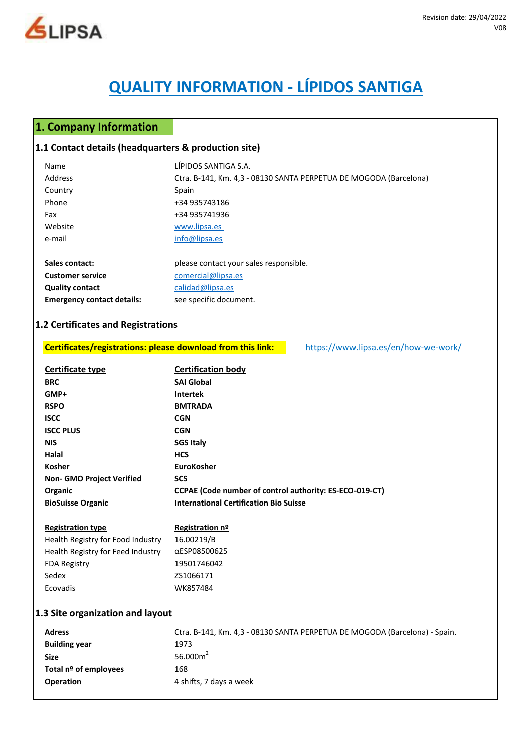

# **QUALITY INFORMATION - LÍPIDOS SANTIGA**

# **1. Company Information**

#### **1.1 Contact details (headquarters & production site)**

**Emergency contact details:** see specific document.

| Name                    | LÍPIDOS SANTIGA S.A.                                              |
|-------------------------|-------------------------------------------------------------------|
| Address                 | Ctra. B-141, Km. 4,3 - 08130 SANTA PERPETUA DE MOGODA (Barcelona) |
| Country                 | Spain                                                             |
| Phone                   | +34 935743186                                                     |
| Fax                     | +34 935741936                                                     |
| Website                 | www.lipsa.es                                                      |
| e-mail                  | info@lipsa.es                                                     |
|                         |                                                                   |
| Sales contact:          | please contact your sales responsible.                            |
| <b>Customer service</b> | comercial@lipsa.es                                                |
| <b>Quality contact</b>  | calidad@lipsa.es                                                  |

## **1.2 Certificates and Registrations**

**Size** 56.000m<sup>2</sup> Total nº of employees 168

**Operation** 4 shifts, 7 days a week

| Certificates/registrations: please download from this link: |                                                         | https://www.lipsa.es/en/how-we-work/                                       |
|-------------------------------------------------------------|---------------------------------------------------------|----------------------------------------------------------------------------|
| Certificate type                                            | <b>Certification body</b>                               |                                                                            |
| <b>BRC</b>                                                  | <b>SAI Global</b>                                       |                                                                            |
| GMP+                                                        | <b>Intertek</b>                                         |                                                                            |
| <b>RSPO</b>                                                 | <b>BMTRADA</b>                                          |                                                                            |
| <b>ISCC</b>                                                 | <b>CGN</b>                                              |                                                                            |
| <b>ISCC PLUS</b>                                            | <b>CGN</b>                                              |                                                                            |
| <b>NIS</b>                                                  | <b>SGS Italy</b>                                        |                                                                            |
| Halal                                                       | <b>HCS</b>                                              |                                                                            |
| Kosher                                                      | <b>EuroKosher</b>                                       |                                                                            |
| <b>Non- GMO Project Verified</b>                            | <b>SCS</b>                                              |                                                                            |
| Organic                                                     | CCPAE (Code number of control authority: ES-ECO-019-CT) |                                                                            |
| <b>BioSuisse Organic</b>                                    | <b>International Certification Bio Suisse</b>           |                                                                            |
| <b>Registration type</b>                                    | Registration nº                                         |                                                                            |
| Health Registry for Food Industry                           | 16.00219/B                                              |                                                                            |
| Health Registry for Feed Industry                           | αESP08500625                                            |                                                                            |
| <b>FDA Registry</b>                                         | 19501746042                                             |                                                                            |
| Sedex                                                       | ZS1066171                                               |                                                                            |
| Ecovadis                                                    | WK857484                                                |                                                                            |
| 1.3 Site organization and layout                            |                                                         |                                                                            |
| <b>Adress</b>                                               |                                                         | Ctra. B-141, Km. 4,3 - 08130 SANTA PERPETUA DE MOGODA (Barcelona) - Spain. |
| <b>Building year</b>                                        | 1973                                                    |                                                                            |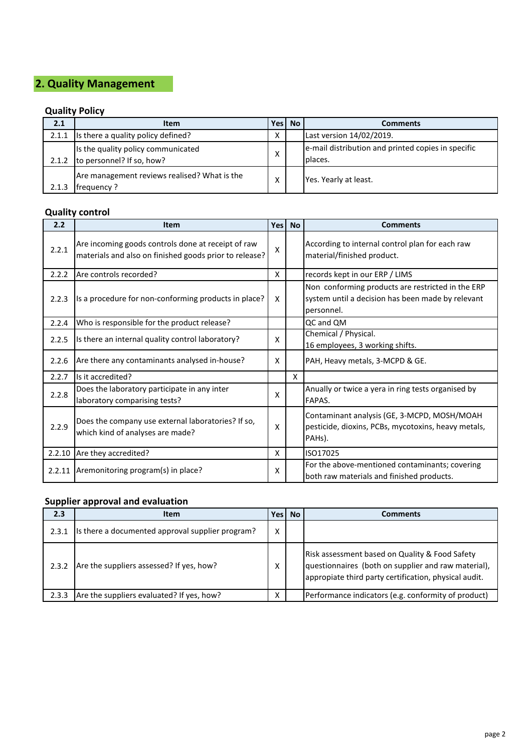# **2. Quality Management**

# **Quality Policy**

| 2.1   | <b>Item</b>                                                           | Yesl         | <b>No</b> | <b>Comments</b>                                                |
|-------|-----------------------------------------------------------------------|--------------|-----------|----------------------------------------------------------------|
|       | 2.1.1 Is there a quality policy defined?                              | Χ            |           | Last version 14/02/2019.                                       |
|       | Is the quality policy communicated<br>2.1.2 to personnel? If so, how? | X            |           | e-mail distribution and printed copies in specific<br>Iplaces. |
| 2.1.3 | Are management reviews realised? What is the<br><b>Ifrequency?</b>    | $\checkmark$ |           | Yes. Yearly at least.                                          |

# **Quality control**

| 2.2    | <b>Item</b>                                                                                                  | <b>Yes</b>                | <b>No</b> | <b>Comments</b>                                                                                                      |
|--------|--------------------------------------------------------------------------------------------------------------|---------------------------|-----------|----------------------------------------------------------------------------------------------------------------------|
| 2.2.1  | Are incoming goods controls done at receipt of raw<br>materials and also on finished goods prior to release? | $\boldsymbol{\mathsf{X}}$ |           | According to internal control plan for each raw<br>material/finished product.                                        |
| 2.2.2  | Are controls recorded?                                                                                       | $\boldsymbol{\mathsf{X}}$ |           | records kept in our ERP / LIMS                                                                                       |
| 2.2.3  | Is a procedure for non-conforming products in place?                                                         | X                         |           | Non conforming products are restricted in the ERP<br>system until a decision has been made by relevant<br>personnel. |
| 2.2.4  | Who is responsible for the product release?                                                                  |                           |           | QC and QM                                                                                                            |
| 2.2.5  | Is there an internal quality control laboratory?                                                             | $\boldsymbol{\mathsf{x}}$ |           | Chemical / Physical.<br>16 employees, 3 working shifts.                                                              |
| 2.2.6  | Are there any contaminants analysed in-house?                                                                | X                         |           | PAH, Heavy metals, 3-MCPD & GE.                                                                                      |
| 2.2.7  | Is it accredited?                                                                                            |                           | X         |                                                                                                                      |
| 2.2.8  | Does the laboratory participate in any inter<br>laboratory comparising tests?                                | $\boldsymbol{\mathsf{x}}$ |           | Anually or twice a yera in ring tests organised by<br>FAPAS.                                                         |
| 2.2.9  | Does the company use external laboratories? If so,<br>which kind of analyses are made?                       | $\boldsymbol{\mathsf{x}}$ |           | Contaminant analysis (GE, 3-MCPD, MOSH/MOAH<br>pesticide, dioxins, PCBs, mycotoxins, heavy metals,<br>PAHs).         |
| 2.2.10 | Are they accredited?                                                                                         | X                         |           | ISO17025                                                                                                             |
| 2.2.11 | Aremonitoring program(s) in place?                                                                           | $\boldsymbol{\mathsf{x}}$ |           | For the above-mentioned contaminants; covering<br>both raw materials and finished products.                          |

# **Supplier approval and evaluation**

| 2.3   | <b>Item</b>                                      | <b>Yes</b>        | <b>No</b> | Comments                                                                                                                                                       |
|-------|--------------------------------------------------|-------------------|-----------|----------------------------------------------------------------------------------------------------------------------------------------------------------------|
| 2.3.1 | Is there a documented approval supplier program? | Χ                 |           |                                                                                                                                                                |
| 2.3.2 | Are the suppliers assessed? If yes, how?         | x                 |           | Risk assessment based on Quality & Food Safety<br>questionnaires (both on supplier and raw material),<br>appropiate third party certification, physical audit. |
| 2.3.3 | Are the suppliers evaluated? If yes, how?        | $\checkmark$<br>⌒ |           | Performance indicators (e.g. conformity of product)                                                                                                            |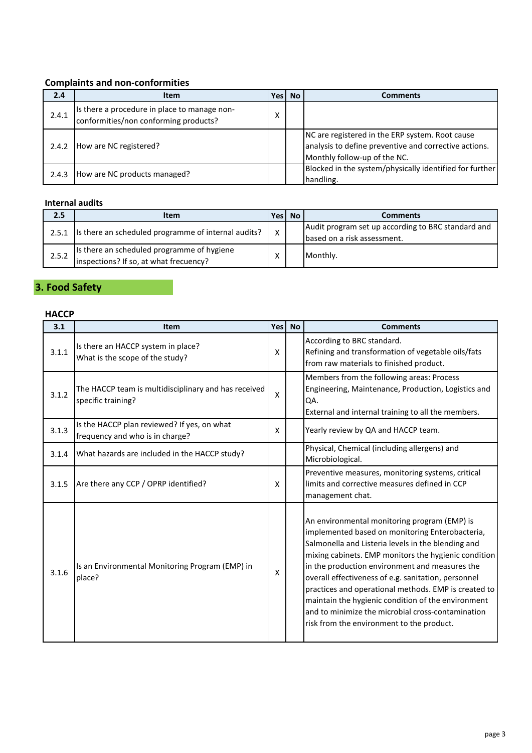## **Complaints and non-conformities**

| 2.4   | <b>Item</b>                                                                           | Yes l | <b>No</b> | Comments                                                                                                                                 |
|-------|---------------------------------------------------------------------------------------|-------|-----------|------------------------------------------------------------------------------------------------------------------------------------------|
| 2.4.1 | Is there a procedure in place to manage non-<br>conformities/non conforming products? | χ     |           |                                                                                                                                          |
| 2.4.2 | How are NC registered?                                                                |       |           | NC are registered in the ERP system. Root cause<br>analysis to define preventive and corrective actions.<br>Monthly follow-up of the NC. |
| 2.4.3 | How are NC products managed?                                                          |       |           | Blocked in the system/physically identified for further<br>handling.                                                                     |

## **Internal audits**

| 2.5   | <b>Item</b>                                                                          |          | Yes No | <b>Comments</b>                                                                   |
|-------|--------------------------------------------------------------------------------------|----------|--------|-----------------------------------------------------------------------------------|
|       | 2.5.1 Is there an scheduled programme of internal audits?                            | $\times$ |        | Audit program set up according to BRC standard and<br>based on a risk assessment. |
| 2.5.2 | Is there an scheduled programme of hygiene<br>inspections? If so, at what frecuency? |          |        | Monthly.                                                                          |

## **3. Food Safety**

## **HACCP**

| 3.1   | <b>Item</b>                                                                    | Yes l                     | <b>No</b> | <b>Comments</b>                                                                                                                                                                                                                                                                                                                                                                                                                                                                                                                        |
|-------|--------------------------------------------------------------------------------|---------------------------|-----------|----------------------------------------------------------------------------------------------------------------------------------------------------------------------------------------------------------------------------------------------------------------------------------------------------------------------------------------------------------------------------------------------------------------------------------------------------------------------------------------------------------------------------------------|
| 3.1.1 | Is there an HACCP system in place?<br>What is the scope of the study?          | $\boldsymbol{\mathsf{X}}$ |           | According to BRC standard.<br>Refining and transformation of vegetable oils/fats<br>from raw materials to finished product.                                                                                                                                                                                                                                                                                                                                                                                                            |
| 3.1.2 | The HACCP team is multidisciplinary and has received<br>specific training?     | X                         |           | Members from the following areas: Process<br>Engineering, Maintenance, Production, Logistics and<br>QA.<br>External and internal training to all the members.                                                                                                                                                                                                                                                                                                                                                                          |
| 3.1.3 | Is the HACCP plan reviewed? If yes, on what<br>frequency and who is in charge? | $\boldsymbol{\mathsf{X}}$ |           | Yearly review by QA and HACCP team.                                                                                                                                                                                                                                                                                                                                                                                                                                                                                                    |
| 3.1.4 | What hazards are included in the HACCP study?                                  |                           |           | Physical, Chemical (including allergens) and<br>Microbiological.                                                                                                                                                                                                                                                                                                                                                                                                                                                                       |
| 3.1.5 | Are there any CCP / OPRP identified?                                           | X                         |           | Preventive measures, monitoring systems, critical<br>limits and corrective measures defined in CCP<br>management chat.                                                                                                                                                                                                                                                                                                                                                                                                                 |
| 3.1.6 | Is an Environmental Monitoring Program (EMP) in<br>place?                      | X                         |           | An environmental monitoring program (EMP) is<br>implemented based on monitoring Enterobacteria,<br>Salmonella and Listeria levels in the blending and<br>mixing cabinets. EMP monitors the hygienic condition<br>in the production environment and measures the<br>overall effectiveness of e.g. sanitation, personnel<br>practices and operational methods. EMP is created to<br>maintain the hygienic condition of the environment<br>and to minimize the microbial cross-contamination<br>risk from the environment to the product. |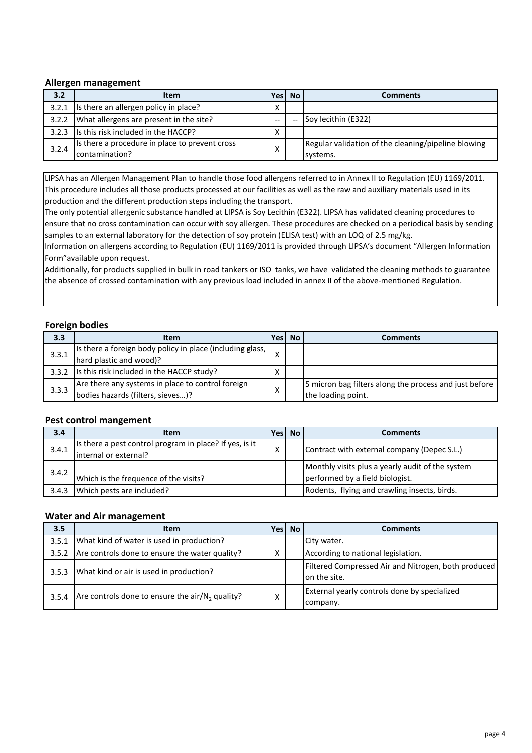#### **Allergen management**

| 3.2   | <b>Item</b>                                    | Yes l | <b>No</b> | <b>Comments</b>                                     |
|-------|------------------------------------------------|-------|-----------|-----------------------------------------------------|
| 3.2.1 | Is there an allergen policy in place?          | Χ     |           |                                                     |
|       | 3.2.2 What allergens are present in the site?  | $- -$ |           | Soy lecithin (E322)                                 |
|       | 3.2.3 Is this risk included in the HACCP?      | Χ     |           |                                                     |
| 3.2.4 | Is there a procedure in place to prevent cross | Χ     |           | Regular validation of the cleaning/pipeline blowing |
|       | contamination?                                 |       |           | systems.                                            |

LIPSA has an Allergen Management Plan to handle those food allergens referred to in Annex II to Regulation (EU) 1169/2011. This procedure includes all those products processed at our facilities as well as the raw and auxiliary materials used in its production and the different production steps including the transport.

The only potential allergenic substance handled at LIPSA is Soy Lecithin (E322). LIPSA has validated cleaning procedures to ensure that no cross contamination can occur with soy allergen. These procedures are checked on a periodical basis by sending samples to an external laboratory for the detection of soy protein (ELISA test) with an LOQ of 2.5 mg/kg.

Information on allergens according to Regulation (EU) 1169/2011 is provided through LIPSA's document "Allergen Information Form"available upon request.

Additionally, for products supplied in bulk in road tankers or ISO tanks, we have validated the cleaning methods to guarantee the absence of crossed contamination with any previous load included in annex II of the above-mentioned Regulation.

## **Foreign bodies**

| 3.3   | <b>Item</b>                                                                            | Yesl              | <b>No</b> | Comments                                                                     |
|-------|----------------------------------------------------------------------------------------|-------------------|-----------|------------------------------------------------------------------------------|
| 3.3.1 | Is there a foreign body policy in place (including glass,<br>hard plastic and wood)?   |                   |           |                                                                              |
|       | 3.3.2 Is this risk included in the HACCP study?                                        | Χ                 |           |                                                                              |
| 3.3.3 | Are there any systems in place to control foreign<br>bodies hazards (filters, sieves)? | $\checkmark$<br>↗ |           | 5 micron bag filters along the process and just before<br>the loading point. |

#### **Pest control mangement**

| 3.4   | <b>Item</b>                                             | Yesl | No. | <b>Comments</b>                                  |
|-------|---------------------------------------------------------|------|-----|--------------------------------------------------|
| 3.4.1 | Is there a pest control program in place? If yes, is it | x    |     | Contract with external company (Depec S.L.)      |
|       | internal or external?                                   |      |     |                                                  |
|       |                                                         |      |     | Monthly visits plus a yearly audit of the system |
| 3.4.2 | Which is the frequence of the visits?                   |      |     | performed by a field biologist.                  |
| 3.4.3 | Which pests are included?                               |      |     | Rodents, flying and crawling insects, birds.     |

#### **Water and Air management**

| 3.5   | <b>Item</b>                                         | Yesl | <b>No</b> | <b>Comments</b>                                                     |
|-------|-----------------------------------------------------|------|-----------|---------------------------------------------------------------------|
| 3.5.1 | What kind of water is used in production?           |      |           | City water.                                                         |
| 3.5.2 | Are controls done to ensure the water quality?      | Χ    |           | According to national legislation.                                  |
| 3.5.3 | What kind or air is used in production?             |      |           | Filtered Compressed Air and Nitrogen, both produced<br>on the site. |
| 3.5.4 | Are controls done to ensure the air/ $N_2$ quality? | Χ    |           | External yearly controls done by specialized<br>company.            |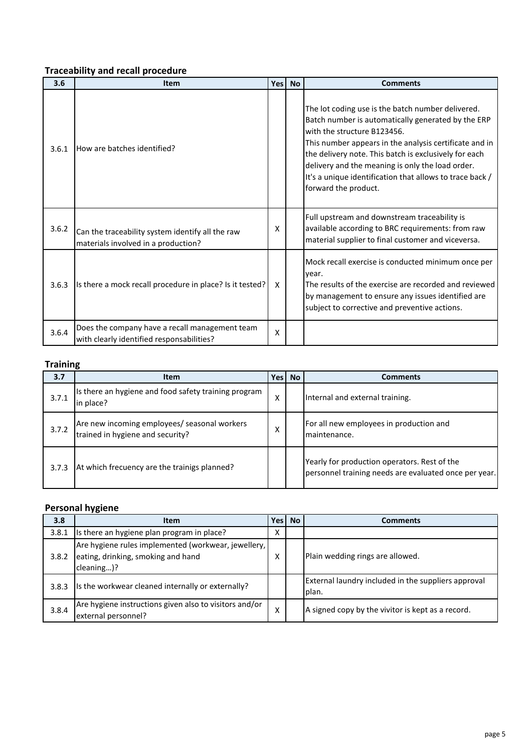# **Traceability and recall procedure**

| 3.6   | <b>Item</b>                                                                                 | Yes | <b>No</b> | <b>Comments</b>                                                                                                                                                                                                                                                                                                                                                                                   |
|-------|---------------------------------------------------------------------------------------------|-----|-----------|---------------------------------------------------------------------------------------------------------------------------------------------------------------------------------------------------------------------------------------------------------------------------------------------------------------------------------------------------------------------------------------------------|
| 3.6.1 | How are batches identified?                                                                 |     |           | The lot coding use is the batch number delivered.<br>Batch number is automatically generated by the ERP<br>with the structure B123456.<br>This number appears in the analysis certificate and in<br>the delivery note. This batch is exclusively for each<br>delivery and the meaning is only the load order.<br>It's a unique identification that allows to trace back /<br>forward the product. |
| 3.6.2 | Can the traceability system identify all the raw<br>materials involved in a production?     | X   |           | Full upstream and downstream traceability is<br>available according to BRC requirements: from raw<br>material supplier to final customer and viceversa.                                                                                                                                                                                                                                           |
| 3.6.3 | Is there a mock recall procedure in place? Is it tested?                                    | X   |           | Mock recall exercise is conducted minimum once per<br>year.<br>The results of the exercise are recorded and reviewed<br>by management to ensure any issues identified are<br>subject to corrective and preventive actions.                                                                                                                                                                        |
| 3.6.4 | Does the company have a recall management team<br>with clearly identified responsabilities? | X   |           |                                                                                                                                                                                                                                                                                                                                                                                                   |

## **Training**

| 3.7   | <b>Item</b>                                                                      | Yesl | <b>No</b> | <b>Comments</b>                                                                                       |
|-------|----------------------------------------------------------------------------------|------|-----------|-------------------------------------------------------------------------------------------------------|
| 3.7.1 | Is there an hygiene and food safety training program<br>in place?                | x    |           | Internal and external training.                                                                       |
| 3.7.2 | Are new incoming employees/ seasonal workers<br>trained in hygiene and security? | x    |           | For all new employees in production and<br>maintenance.                                               |
| 3.7.3 | At which frecuency are the trainigs planned?                                     |      |           | Yearly for production operators. Rest of the<br>personnel training needs are evaluated once per year. |

# **Personal hygiene**

| 3.8   | <b>Item</b>                                                                                             | <b>Yes</b> | <b>No</b> | <b>Comments</b>                                              |
|-------|---------------------------------------------------------------------------------------------------------|------------|-----------|--------------------------------------------------------------|
| 3.8.1 | Is there an hygiene plan program in place?                                                              | Χ          |           |                                                              |
| 3.8.2 | Are hygiene rules implemented (workwear, jewellery,<br>eating, drinking, smoking and hand<br>cleaning)? |            |           | Plain wedding rings are allowed.                             |
| 3.8.3 | Is the workwear cleaned internally or externally?                                                       |            |           | External laundry included in the suppliers approval<br>plan. |
| 3.8.4 | Are hygiene instructions given also to visitors and/or<br>external personnel?                           | Χ          |           | A signed copy by the vivitor is kept as a record.            |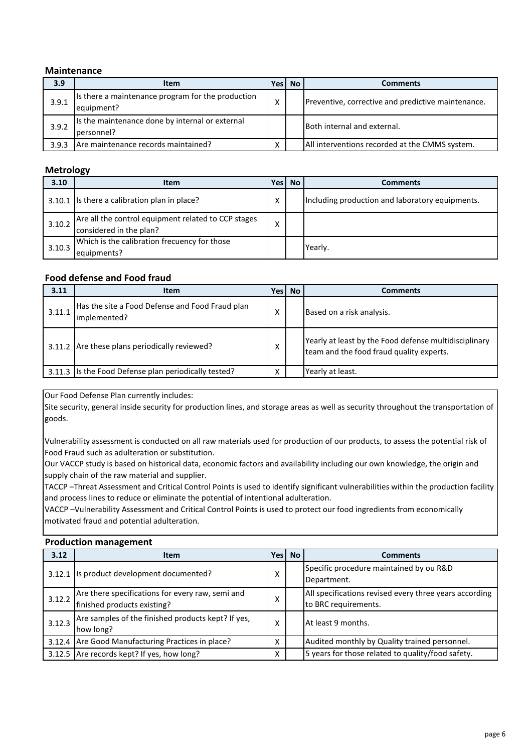#### **Maintenance**

| 3.9   | <b>Item</b>                                                     | Yes l | <b>No</b> | <b>Comments</b>                                    |
|-------|-----------------------------------------------------------------|-------|-----------|----------------------------------------------------|
| 3.9.1 | Is there a maintenance program for the production<br>equipment? | х     |           | Preventive, corrective and predictive maintenance. |
| 3.9.2 | Is the maintenance done by internal or external<br>personnel?   |       |           | Both internal and external.                        |
| 3.9.3 | Are maintenance records maintained?                             | Χ     |           | All interventions recorded at the CMMS system.     |

## **Metrology**

| 3.10   | <b>Item</b>                                                                    | Yesl | <b>No</b> | <b>Comments</b>                                 |
|--------|--------------------------------------------------------------------------------|------|-----------|-------------------------------------------------|
|        | 3.10.1 Is there a calibration plan in place?                                   | Χ    |           | Including production and laboratory equipments. |
| 3.10.2 | Are all the control equipment related to CCP stages<br>considered in the plan? | v    |           |                                                 |
| 3.10.3 | Which is the calibration frecuency for those<br>equipments?                    |      |           | Yearly.                                         |

## **Food defense and Food fraud**

| 3.11   | <b>Item</b>                                                     | Yes l | <b>No</b> | <b>Comments</b>                                                                                   |
|--------|-----------------------------------------------------------------|-------|-----------|---------------------------------------------------------------------------------------------------|
| 3.11.1 | Has the site a Food Defense and Food Fraud plan<br>implemented? | ↗     |           | Based on a risk analysis.                                                                         |
|        | 3.11.2 Are these plans periodically reviewed?                   | Χ     |           | Yearly at least by the Food defense multidisciplinary<br>team and the food fraud quality experts. |
|        | 3.11.3 Is the Food Defense plan periodically tested?            |       |           | Yearly at least.                                                                                  |

Our Food Defense Plan currently includes:

Site security, general inside security for production lines, and storage areas as well as security throughout the transportation of goods.

Vulnerability assessment is conducted on all raw materials used for production of our products, to assess the potential risk of Food Fraud such as adulteration or substitution.

Our VACCP study is based on historical data, economic factors and availability including our own knowledge, the origin and supply chain of the raw material and supplier.

TACCP –Threat Assessment and Critical Control Points is used to identify significant vulnerabilities within the production facility and process lines to reduce or eliminate the potential of intentional adulteration.

VACCP –Vulnerability Assessment and Critical Control Points is used to protect our food ingredients from economically motivated fraud and potential adulteration.

#### **Production management**

| 3.12   | <b>Item</b>                                                                     | <b>Yes</b> | <b>No</b> | <b>Comments</b>                                                                |  |  |  |
|--------|---------------------------------------------------------------------------------|------------|-----------|--------------------------------------------------------------------------------|--|--|--|
|        | 3.12.1 Is product development documented?                                       | X          |           | Specific procedure maintained by ou R&D<br>Department.                         |  |  |  |
| 3.12.2 | Are there specifications for every raw, semi and<br>finished products existing? | Χ          |           | All specifications revised every three years according<br>to BRC requirements. |  |  |  |
| 3.12.3 | Are samples of the finished products kept? If yes,<br>how long?                 | x          |           | At least 9 months.                                                             |  |  |  |
|        | 3.12.4 Are Good Manufacturing Practices in place?                               | x          |           | Audited monthly by Quality trained personnel.                                  |  |  |  |
|        | 3.12.5 Are records kept? If yes, how long?                                      | Χ          |           | 5 years for those related to quality/food safety.                              |  |  |  |